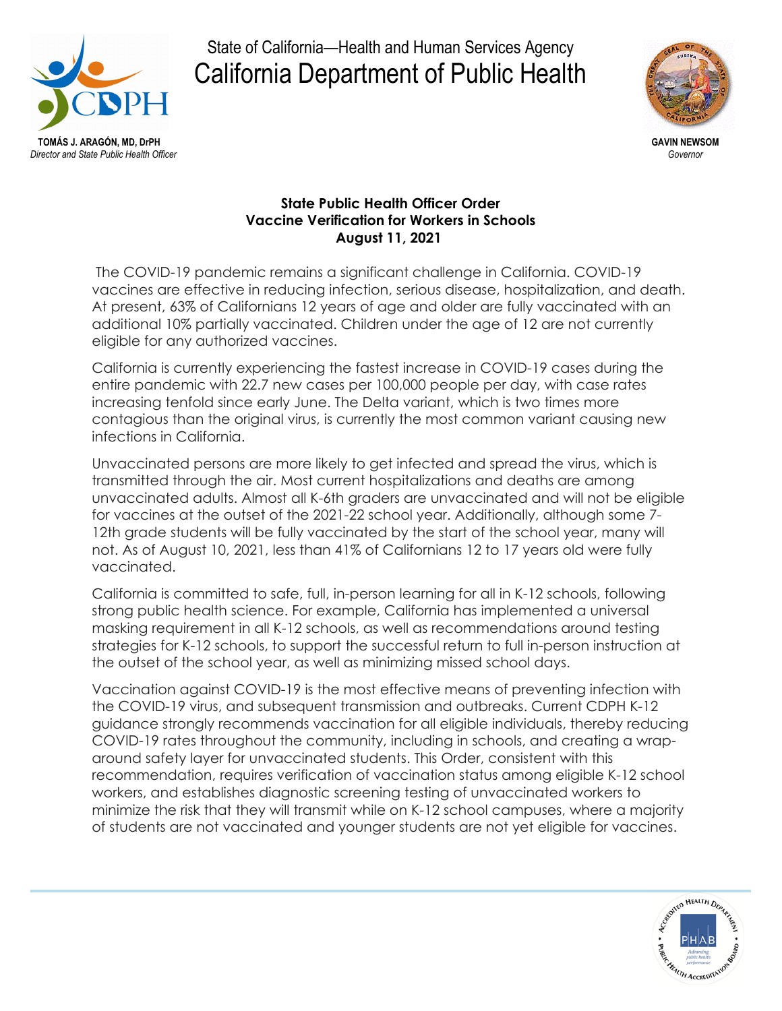

## State of California—Health and Human Services Agency California Department of Public Health



## **State Public Health Officer Order Vaccine Verification for Workers in Schools August 11, 2021**

The COVID-19 pandemic remains a significant challenge in California. COVID-19 vaccines are effective in reducing infection, serious disease, hospitalization, and death. At present, 63% of Californians 12 years of age and older are fully vaccinated with an additional 10% partially vaccinated. Children under the age of 12 are not currently eligible for any authorized vaccines.

California is currently experiencing the fastest increase in COVID-19 cases during the entire pandemic with 22.7 new cases per 100,000 people per day, with case rates increasing tenfold since early June. The Delta variant, which is two times more contagious than the original virus, is currently the most common variant causing new infections in California.

Unvaccinated persons are more likely to get infected and spread the virus, which is transmitted through the air. Most current hospitalizations and deaths are among unvaccinated adults. Almost all K-6th graders are unvaccinated and will not be eligible for vaccines at the outset of the 2021-22 school year. Additionally, although some 7- 12th grade students will be fully vaccinated by the start of the school year, many will not. As of August 10, 2021, less than 41% of Californians 12 to 17 years old were fully vaccinated.

California is committed to safe, full, in-person learning for all in K-12 schools, following strong public health science. For example, California has implemented a universal masking requirement in all K-12 schools, as well as recommendations around testing strategies for K-12 schools, to support the successful return to full in-person instruction at the outset of the school year, as well as minimizing missed school days.

Vaccination against COVID-19 is the most effective means of preventing infection with the COVID-19 virus, and subsequent transmission and outbreaks. Current CDPH K-12 guidance strongly recommends vaccination for all eligible individuals, thereby reducing COVID-19 rates throughout the community, including in schools, and creating a wraparound safety layer for unvaccinated students. This Order, consistent with this recommendation, requires verification of vaccination status among eligible K-12 school workers, and establishes diagnostic screening testing of unvaccinated workers to minimize the risk that they will transmit while on K-12 school campuses, where a majority of students are not vaccinated and younger students are not yet eligible for vaccines.

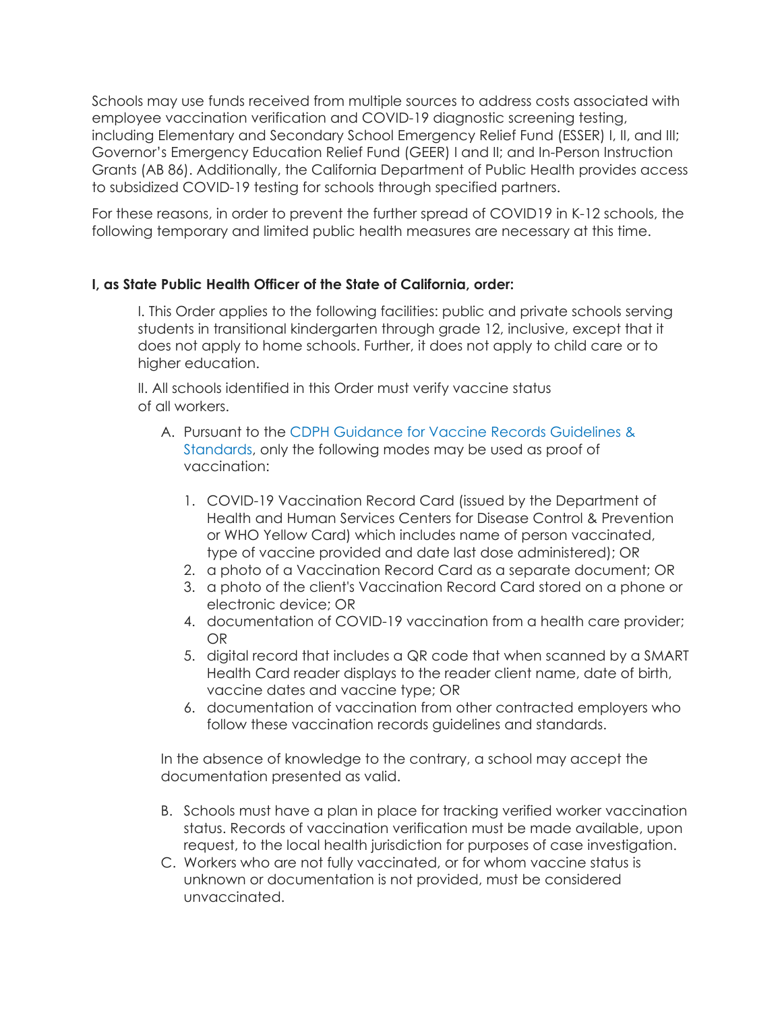Schools may use funds received from multiple sources to address costs associated with employee vaccination verification and COVID-19 diagnostic screening testing, including Elementary and Secondary School Emergency Relief Fund (ESSER) I, II, and III; Governor's Emergency Education Relief Fund (GEER) I and II; and In-Person Instruction Grants (AB 86). Additionally, the California Department of Public Health provides access to subsidized COVID-19 testing for schools through specified partners.

For these reasons, in order to prevent the further spread of COVID19 in K-12 schools, the following temporary and limited public health measures are necessary at this time.

## **I, as State Public Health Officer of the State of California, order:**

I. This Order applies to the following facilities: public and private schools serving students in transitional kindergarten through grade 12, inclusive, except that it does not apply to home schools. Further, it does not apply to child care or to higher education.

II. All schools identified in this Order must verify vaccine status of all workers.

- A. Pursuant to the [CDPH Guidance for Vaccine Records Guidelines &](https://www.cdph.ca.gov/Programs/CID/DCDC/Pages/COVID-19/Vaccine-Record-Guidelines-Standards.aspx)  [Standards,](https://www.cdph.ca.gov/Programs/CID/DCDC/Pages/COVID-19/Vaccine-Record-Guidelines-Standards.aspx) only the following modes may be used as proof of vaccination:
	- 1. COVID-19 Vaccination Record Card (issued by the Department of Health and Human Services Centers for Disease Control & Prevention or WHO Yellow Card) which includes name of person vaccinated, type of vaccine provided and date last dose administered); OR
	- 2. a photo of a Vaccination Record Card as a separate document; OR
	- 3. a photo of the client's Vaccination Record Card stored on a phone or electronic device; OR
	- 4. documentation of COVID-19 vaccination from a health care provider; OR
	- 5. digital record that includes a QR code that when scanned by a SMART Health Card reader displays to the reader client name, date of birth, vaccine dates and vaccine type; OR
	- 6. documentation of vaccination from other contracted employers who follow these vaccination records guidelines and standards.

In the absence of knowledge to the contrary, a school may accept the documentation presented as valid.

- B. Schools must have a plan in place for tracking verified worker vaccination status. Records of vaccination verification must be made available, upon request, to the local health jurisdiction for purposes of case investigation.
- C. Workers who are not fully vaccinated, or for whom vaccine status is unknown or documentation is not provided, must be considered unvaccinated.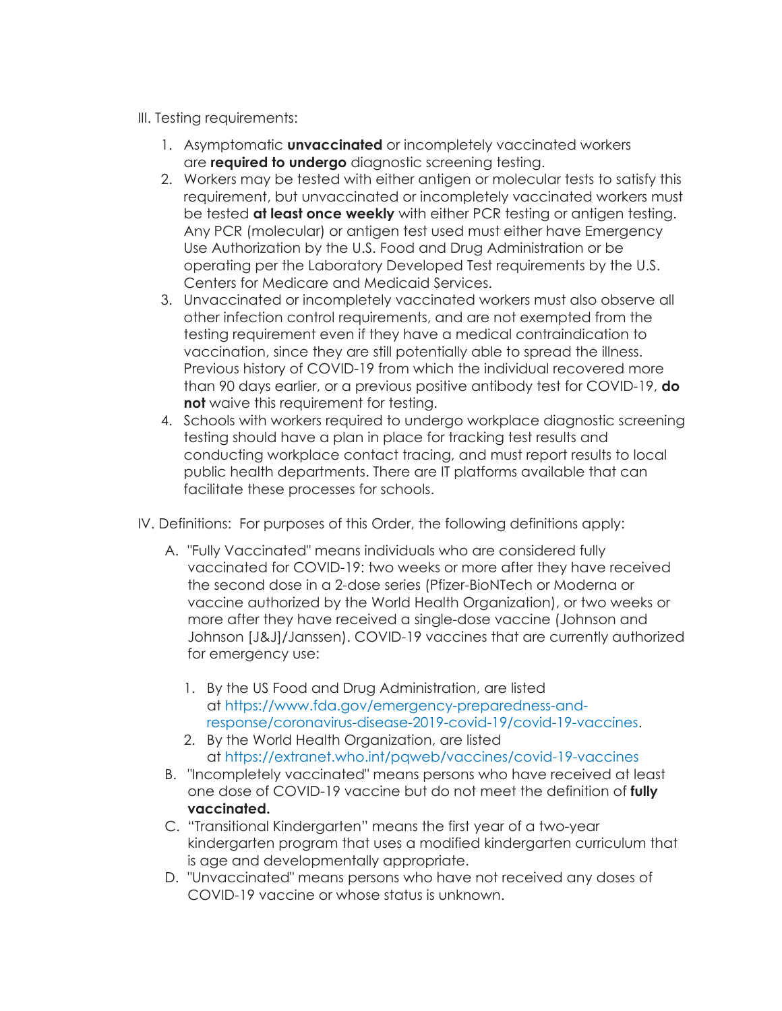- III. Testing requirements:
	- 1. Asymptomatic **unvaccinated** or incompletely vaccinated workers are **required to undergo** diagnostic screening testing.
	- 2. Workers may be tested with either antigen or molecular tests to satisfy this requirement, but unvaccinated or incompletely vaccinated workers must be tested **at least once weekly** with either PCR testing or antigen testing. Any PCR (molecular) or antigen test used must either have Emergency Use Authorization by the U.S. Food and Drug Administration or be operating per the Laboratory Developed Test requirements by the U.S. Centers for Medicare and Medicaid Services.
	- 3. Unvaccinated or incompletely vaccinated workers must also observe all other infection control requirements, and are not exempted from the testing requirement even if they have a medical contraindication to vaccination, since they are still potentially able to spread the illness. Previous history of COVID-19 from which the individual recovered more than 90 days earlier, or a previous positive antibody test for COVID-19, **do not** waive this requirement for testing.
	- 4. Schools with workers required to undergo workplace diagnostic screening testing should have a plan in place for tracking test results and conducting workplace contact tracing, and must report results to local public health departments. There are IT platforms available that can facilitate these processes for schools.
- IV. Definitions: For purposes of this Order, the following definitions apply:
	- A. "Fully Vaccinated" means individuals who are considered fully vaccinated for COVID-19: two weeks or more after they have received the second dose in a 2-dose series (Pfizer-BioNTech or Moderna or vaccine authorized by the World Health Organization), or two weeks or more after they have received a single-dose vaccine (Johnson and Johnson [J&J]/Janssen). COVID-19 vaccines that are currently authorized for emergency use:
		- 1. By the US Food and Drug Administration, are listed at [https://www.fda.gov/emergency-preparedness-and](https://www.fda.gov/emergency-preparedness-and-response/coronavirus-disease-2019-covid-19/covid-19-vaccines)[response/coronavirus-disease-2019-covid-19/covid-19-vaccines.](https://www.fda.gov/emergency-preparedness-and-response/coronavirus-disease-2019-covid-19/covid-19-vaccines)
		- 2. By the World Health Organization, are listed at <https://extranet.who.int/pqweb/vaccines/covid-19-vaccines>
	- B. "Incompletely vaccinated" means persons who have received at least one dose of COVID-19 vaccine but do not meet the definition of **fully vaccinated.**
	- C. "Transitional Kindergarten" means the first year of a two-year kindergarten program that uses a modified kindergarten curriculum that is age and developmentally appropriate.
	- D. "Unvaccinated" means persons who have not received any doses of COVID-19 vaccine or whose status is unknown.